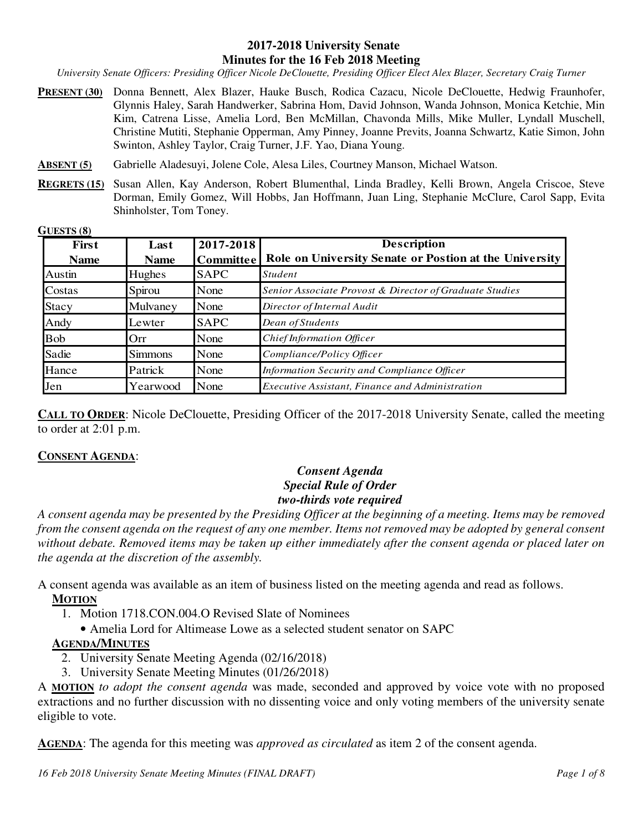#### **2017-2018 University Senate Minutes for the 16 Feb 2018 Meeting**

*University Senate Officers: Presiding Officer Nicole DeClouette, Presiding Officer Elect Alex Blazer, Secretary Craig Turner* 

- **PRESENT (30)** Donna Bennett, Alex Blazer, Hauke Busch, Rodica Cazacu, Nicole DeClouette, Hedwig Fraunhofer, Glynnis Haley, Sarah Handwerker, Sabrina Hom, David Johnson, Wanda Johnson, Monica Ketchie, Min Kim, Catrena Lisse, Amelia Lord, Ben McMillan, Chavonda Mills, Mike Muller, Lyndall Muschell, Christine Mutiti, Stephanie Opperman, Amy Pinney, Joanne Previts, Joanna Schwartz, Katie Simon, John Swinton, Ashley Taylor, Craig Turner, J.F. Yao, Diana Young.
- **ABSENT (5)** Gabrielle Aladesuyi, Jolene Cole, Alesa Liles, Courtney Manson, Michael Watson.
- **REGRETS (15)** Susan Allen, Kay Anderson, Robert Blumenthal, Linda Bradley, Kelli Brown, Angela Criscoe, Steve Dorman, Emily Gomez, Will Hobbs, Jan Hoffmann, Juan Ling, Stephanie McClure, Carol Sapp, Evita Shinholster, Tom Toney.

**GUESTS (8)** 

| <b>First</b> | Last           | 2017-2018        | <b>Description</b>                                      |
|--------------|----------------|------------------|---------------------------------------------------------|
| <b>Name</b>  | <b>Name</b>    | <b>Committee</b> | Role on University Senate or Postion at the University  |
| Austin       | Hughes         | <b>SAPC</b>      | <i>Student</i>                                          |
| Costas       | Spirou         | None             | Senior Associate Provost & Director of Graduate Studies |
| <b>Stacy</b> | Mulvaney       | None             | Director of Internal Audit                              |
| Andy         | Lewter         | <b>SAPC</b>      | Dean of Students                                        |
| <b>Bob</b>   | Orr            | None             | Chief Information Officer                               |
| Sadie        | <b>Simmons</b> | None             | Compliance/Policy Officer                               |
| Hance        | Patrick        | None             | Information Security and Compliance Officer             |
| Jen          | Yearwood       | None             | Executive Assistant, Finance and Administration         |

**CALL TO ORDER**: Nicole DeClouette, Presiding Officer of the 2017-2018 University Senate, called the meeting to order at 2:01 p.m.

#### **CONSENT AGENDA**:

### *Consent Agenda Special Rule of Order two-thirds vote required*

*A consent agenda may be presented by the Presiding Officer at the beginning of a meeting. Items may be removed from the consent agenda on the request of any one member. Items not removed may be adopted by general consent without debate. Removed items may be taken up either immediately after the consent agenda or placed later on the agenda at the discretion of the assembly.* 

A consent agenda was available as an item of business listed on the meeting agenda and read as follows.

#### **MOTION**

- 1. Motion 1718.CON.004.O Revised Slate of Nominees
	- Amelia Lord for Altimease Lowe as a selected student senator on SAPC

#### **AGENDA/MINUTES**

- 2. University Senate Meeting Agenda (02/16/2018)
- 3. University Senate Meeting Minutes (01/26/2018)

A **MOTION** *to adopt the consent agenda* was made, seconded and approved by voice vote with no proposed extractions and no further discussion with no dissenting voice and only voting members of the university senate eligible to vote.

**AGENDA**: The agenda for this meeting was *approved as circulated* as item 2 of the consent agenda.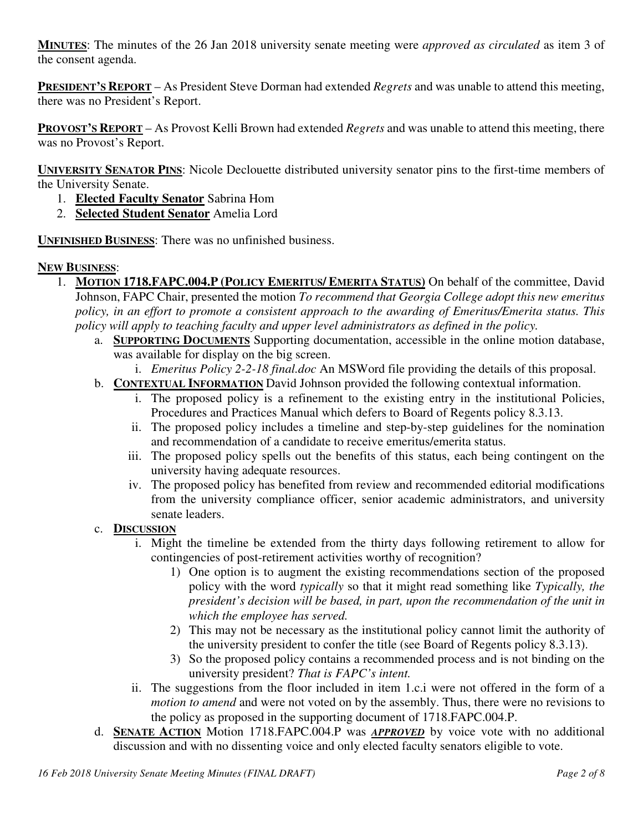**MINUTES**: The minutes of the 26 Jan 2018 university senate meeting were *approved as circulated* as item 3 of the consent agenda.

**PRESIDENT'S REPORT** – As President Steve Dorman had extended *Regrets* and was unable to attend this meeting, there was no President's Report.

**PROVOST'S REPORT** – As Provost Kelli Brown had extended *Regrets* and was unable to attend this meeting, there was no Provost's Report.

**UNIVERSITY SENATOR PINS**: Nicole Declouette distributed university senator pins to the first-time members of the University Senate.

- 1. **Elected Faculty Senator** Sabrina Hom
- 2. **Selected Student Senator** Amelia Lord

**UNFINISHED BUSINESS**: There was no unfinished business.

### **NEW BUSINESS**:

- 1. **MOTION 1718.FAPC.004.P (POLICY EMERITUS/ EMERITA STATUS)** On behalf of the committee, David Johnson, FAPC Chair, presented the motion *To recommend that Georgia College adopt this new emeritus policy, in an effort to promote a consistent approach to the awarding of Emeritus/Emerita status. This policy will apply to teaching faculty and upper level administrators as defined in the policy.*
	- a. **SUPPORTING DOCUMENTS** Supporting documentation, accessible in the online motion database, was available for display on the big screen.
		- i. *Emeritus Policy 2-2-18 final.doc* An MSWord file providing the details of this proposal.
	- b. **CONTEXTUAL INFORMATION** David Johnson provided the following contextual information.
		- i. The proposed policy is a refinement to the existing entry in the institutional Policies, Procedures and Practices Manual which defers to Board of Regents policy 8.3.13.
		- ii. The proposed policy includes a timeline and step-by-step guidelines for the nomination and recommendation of a candidate to receive emeritus/emerita status.
		- iii. The proposed policy spells out the benefits of this status, each being contingent on the university having adequate resources.
		- iv. The proposed policy has benefited from review and recommended editorial modifications from the university compliance officer, senior academic administrators, and university senate leaders.
	- c. **DISCUSSION**
		- i. Might the timeline be extended from the thirty days following retirement to allow for contingencies of post-retirement activities worthy of recognition?
			- 1) One option is to augment the existing recommendations section of the proposed policy with the word *typically* so that it might read something like *Typically, the president's decision will be based, in part, upon the recommendation of the unit in which the employee has served.*
			- 2) This may not be necessary as the institutional policy cannot limit the authority of the university president to confer the title (see Board of Regents policy 8.3.13).
			- 3) So the proposed policy contains a recommended process and is not binding on the university president? *That is FAPC's intent.*
		- ii. The suggestions from the floor included in item 1.c.i were not offered in the form of a *motion to amend* and were not voted on by the assembly. Thus, there were no revisions to the policy as proposed in the supporting document of 1718.FAPC.004.P.
	- d. **SENATE ACTION** Motion 1718.FAPC.004.P was *APPROVED* by voice vote with no additional discussion and with no dissenting voice and only elected faculty senators eligible to vote.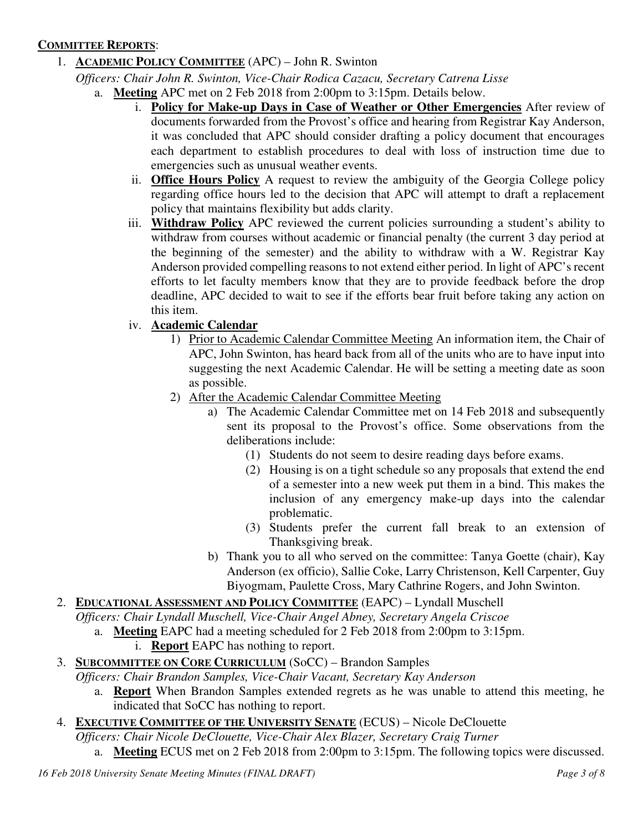### **COMMITTEE REPORTS**:

1. **ACADEMIC POLICY COMMITTEE** (APC) – John R. Swinton

*Officers: Chair John R. Swinton, Vice-Chair Rodica Cazacu, Secretary Catrena Lisse*

- a. **Meeting** APC met on 2 Feb 2018 from 2:00pm to 3:15pm. Details below.
	- i. **Policy for Make-up Days in Case of Weather or Other Emergencies** After review of documents forwarded from the Provost's office and hearing from Registrar Kay Anderson, it was concluded that APC should consider drafting a policy document that encourages each department to establish procedures to deal with loss of instruction time due to emergencies such as unusual weather events.
	- ii. **Office Hours Policy** A request to review the ambiguity of the Georgia College policy regarding office hours led to the decision that APC will attempt to draft a replacement policy that maintains flexibility but adds clarity.
	- iii. **Withdraw Policy** APC reviewed the current policies surrounding a student's ability to withdraw from courses without academic or financial penalty (the current 3 day period at the beginning of the semester) and the ability to withdraw with a W. Registrar Kay Anderson provided compelling reasons to not extend either period. In light of APC's recent efforts to let faculty members know that they are to provide feedback before the drop deadline, APC decided to wait to see if the efforts bear fruit before taking any action on this item.

### iv. **Academic Calendar**

- 1) Prior to Academic Calendar Committee Meeting An information item, the Chair of APC, John Swinton, has heard back from all of the units who are to have input into suggesting the next Academic Calendar. He will be setting a meeting date as soon as possible.
- 2) After the Academic Calendar Committee Meeting
	- a) The Academic Calendar Committee met on 14 Feb 2018 and subsequently sent its proposal to the Provost's office. Some observations from the deliberations include:
		- (1) Students do not seem to desire reading days before exams.
		- (2) Housing is on a tight schedule so any proposals that extend the end of a semester into a new week put them in a bind. This makes the inclusion of any emergency make-up days into the calendar problematic.
		- (3) Students prefer the current fall break to an extension of Thanksgiving break.
	- b) Thank you to all who served on the committee: Tanya Goette (chair), Kay Anderson (ex officio), Sallie Coke, Larry Christenson, Kell Carpenter, Guy Biyogmam, Paulette Cross, Mary Cathrine Rogers, and John Swinton.
- 2. **EDUCATIONAL ASSESSMENT AND POLICY COMMITTEE** (EAPC) Lyndall Muschell
	- *Officers: Chair Lyndall Muschell, Vice-Chair Angel Abney, Secretary Angela Criscoe* 
		- a. **Meeting** EAPC had a meeting scheduled for 2 Feb 2018 from 2:00pm to 3:15pm.
			- i. **Report** EAPC has nothing to report.
- 3. **SUBCOMMITTEE ON CORE CURRICULUM** (SoCC) Brandon Samples

*Officers: Chair Brandon Samples, Vice-Chair Vacant, Secretary Kay Anderson* 

a. **Report** When Brandon Samples extended regrets as he was unable to attend this meeting, he indicated that SoCC has nothing to report.

# 4. **EXECUTIVE COMMITTEE OF THE UNIVERSITY SENATE** (ECUS) – Nicole DeClouette

*Officers: Chair Nicole DeClouette, Vice-Chair Alex Blazer, Secretary Craig Turner*

a. **Meeting** ECUS met on 2 Feb 2018 from 2:00pm to 3:15pm. The following topics were discussed.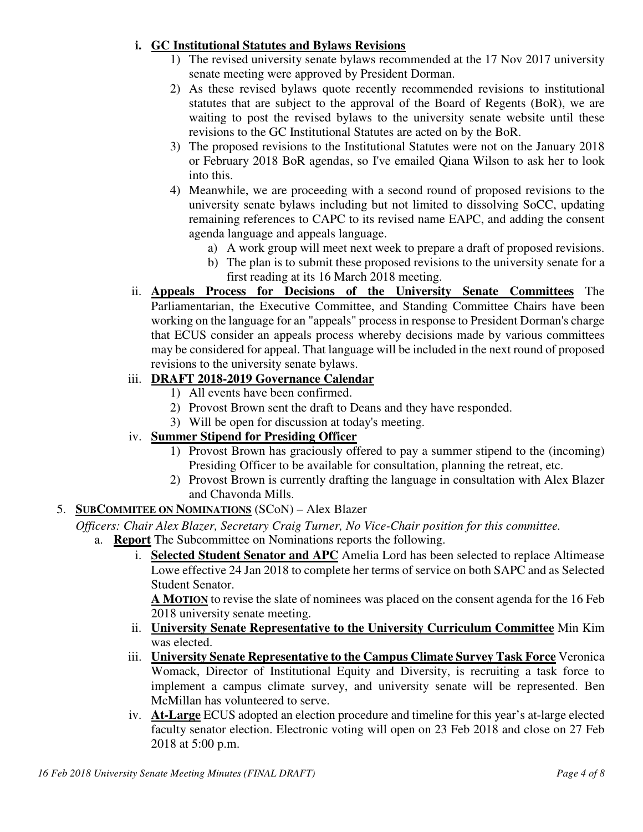### **i. GC Institutional Statutes and Bylaws Revisions**

- 1) The revised university senate bylaws recommended at the 17 Nov 2017 university senate meeting were approved by President Dorman.
- 2) As these revised bylaws quote recently recommended revisions to institutional statutes that are subject to the approval of the Board of Regents (BoR), we are waiting to post the revised bylaws to the university senate website until these revisions to the GC Institutional Statutes are acted on by the BoR.
- 3) The proposed revisions to the Institutional Statutes were not on the January 2018 or February 2018 BoR agendas, so I've emailed Qiana Wilson to ask her to look into this.
- 4) Meanwhile, we are proceeding with a second round of proposed revisions to the university senate bylaws including but not limited to dissolving SoCC, updating remaining references to CAPC to its revised name EAPC, and adding the consent agenda language and appeals language.
	- a) A work group will meet next week to prepare a draft of proposed revisions.
	- b) The plan is to submit these proposed revisions to the university senate for a first reading at its 16 March 2018 meeting.
- ii. **Appeals Process for Decisions of the University Senate Committees** The Parliamentarian, the Executive Committee, and Standing Committee Chairs have been working on the language for an "appeals" process in response to President Dorman's charge that ECUS consider an appeals process whereby decisions made by various committees may be considered for appeal. That language will be included in the next round of proposed revisions to the university senate bylaws.

### iii. **DRAFT 2018-2019 Governance Calendar**

- 1) All events have been confirmed.
- 2) Provost Brown sent the draft to Deans and they have responded.
- 3) Will be open for discussion at today's meeting.

# iv. **Summer Stipend for Presiding Officer**

- 1) Provost Brown has graciously offered to pay a summer stipend to the (incoming) Presiding Officer to be available for consultation, planning the retreat, etc.
- 2) Provost Brown is currently drafting the language in consultation with Alex Blazer and Chavonda Mills.

# 5. **SUBCOMMITEE ON NOMINATIONS** (SCoN) – Alex Blazer

*Officers: Chair Alex Blazer, Secretary Craig Turner, No Vice-Chair position for this committee.*

- a. **Report** The Subcommittee on Nominations reports the following.
	- i. **Selected Student Senator and APC** Amelia Lord has been selected to replace Altimease Lowe effective 24 Jan 2018 to complete her terms of service on both SAPC and as Selected Student Senator.

**A MOTION** to revise the slate of nominees was placed on the consent agenda for the 16 Feb 2018 university senate meeting.

- ii. **University Senate Representative to the University Curriculum Committee** Min Kim was elected.
- iii. **University Senate Representative to the Campus Climate Survey Task Force** Veronica Womack, Director of Institutional Equity and Diversity, is recruiting a task force to implement a campus climate survey, and university senate will be represented. Ben McMillan has volunteered to serve.
- iv. **At-Large** ECUS adopted an election procedure and timeline for this year's at-large elected faculty senator election. Electronic voting will open on 23 Feb 2018 and close on 27 Feb 2018 at 5:00 p.m.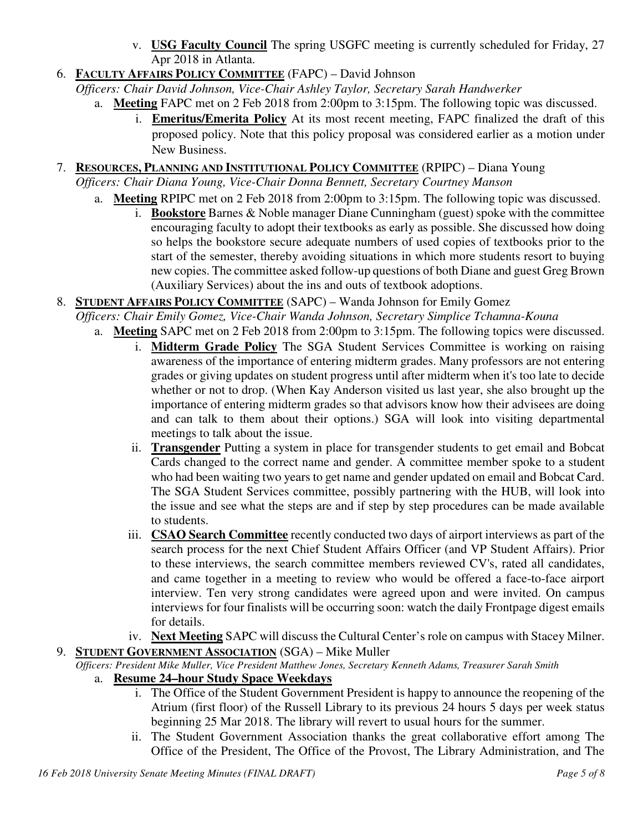- v. **USG Faculty Council** The spring USGFC meeting is currently scheduled for Friday, 27 Apr 2018 in Atlanta.
- 6. **FACULTY AFFAIRS POLICY COMMITTEE** (FAPC) David Johnson

*Officers: Chair David Johnson, Vice-Chair Ashley Taylor, Secretary Sarah Handwerker*

- a. **Meeting** FAPC met on 2 Feb 2018 from 2:00pm to 3:15pm. The following topic was discussed.
	- i. **Emeritus/Emerita Policy** At its most recent meeting, FAPC finalized the draft of this proposed policy. Note that this policy proposal was considered earlier as a motion under New Business.
- 7. **RESOURCES, PLANNING AND INSTITUTIONAL POLICY COMMITTEE** (RPIPC) Diana Young

*Officers: Chair Diana Young, Vice-Chair Donna Bennett, Secretary Courtney Manson* 

- a. **Meeting** RPIPC met on 2 Feb 2018 from 2:00pm to 3:15pm. The following topic was discussed. i. **Bookstore** Barnes & Noble manager Diane Cunningham (guest) spoke with the committee encouraging faculty to adopt their textbooks as early as possible. She discussed how doing so helps the bookstore secure adequate numbers of used copies of textbooks prior to the start of the semester, thereby avoiding situations in which more students resort to buying new copies. The committee asked follow-up questions of both Diane and guest Greg Brown (Auxiliary Services) about the ins and outs of textbook adoptions.
- 8. **STUDENT AFFAIRS POLICY COMMITTEE** (SAPC) Wanda Johnson for Emily Gomez

*Officers: Chair Emily Gomez, Vice-Chair Wanda Johnson, Secretary Simplice Tchamna-Kouna*

- a. **Meeting** SAPC met on 2 Feb 2018 from 2:00pm to 3:15pm. The following topics were discussed.
	- i. **Midterm Grade Policy** The SGA Student Services Committee is working on raising awareness of the importance of entering midterm grades. Many professors are not entering grades or giving updates on student progress until after midterm when it's too late to decide whether or not to drop. (When Kay Anderson visited us last year, she also brought up the importance of entering midterm grades so that advisors know how their advisees are doing and can talk to them about their options.) SGA will look into visiting departmental meetings to talk about the issue.
	- ii. **Transgender** Putting a system in place for transgender students to get email and Bobcat Cards changed to the correct name and gender. A committee member spoke to a student who had been waiting two years to get name and gender updated on email and Bobcat Card. The SGA Student Services committee, possibly partnering with the HUB, will look into the issue and see what the steps are and if step by step procedures can be made available to students.
	- iii. **CSAO Search Committee** recently conducted two days of airport interviews as part of the search process for the next Chief Student Affairs Officer (and VP Student Affairs). Prior to these interviews, the search committee members reviewed CV's, rated all candidates, and came together in a meeting to review who would be offered a face-to-face airport interview. Ten very strong candidates were agreed upon and were invited. On campus interviews for four finalists will be occurring soon: watch the daily Frontpage digest emails for details.
	- iv. **Next Meeting** SAPC will discuss the Cultural Center's role on campus with Stacey Milner.

# 9. **STUDENT GOVERNMENT ASSOCIATION** (SGA) – Mike Muller

*Officers: President Mike Muller, Vice President Matthew Jones, Secretary Kenneth Adams, Treasurer Sarah Smith*

### a. **Resume 24–hour Study Space Weekdays**

- i. The Office of the Student Government President is happy to announce the reopening of the Atrium (first floor) of the Russell Library to its previous 24 hours 5 days per week status beginning 25 Mar 2018. The library will revert to usual hours for the summer.
- ii. The Student Government Association thanks the great collaborative effort among The Office of the President, The Office of the Provost, The Library Administration, and The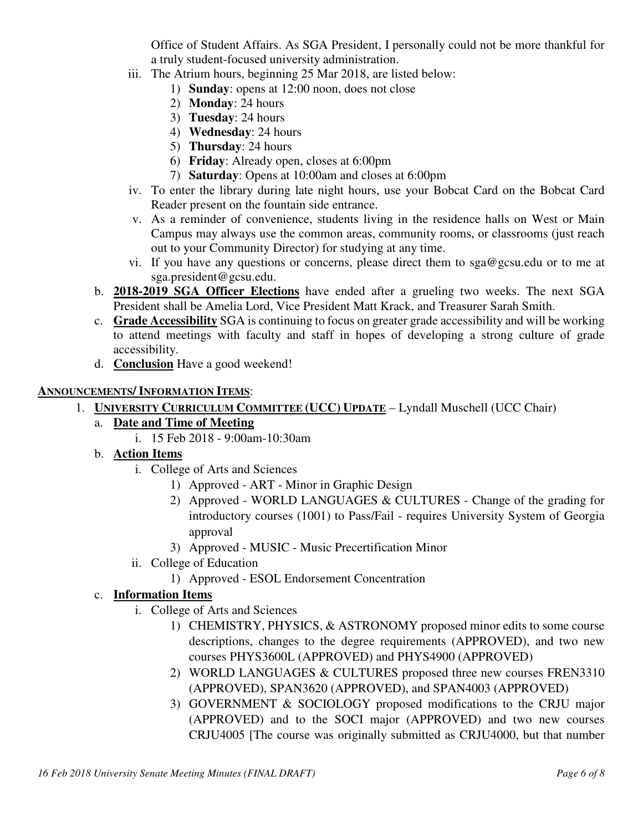Office of Student Affairs. As SGA President, I personally could not be more thankful for a truly student-focused university administration.

- iii. The Atrium hours, beginning 25 Mar 2018, are listed below:
	- 1) **Sunday**: opens at 12:00 noon, does not close
	- 2) **Monday**: 24 hours
	- 3) **Tuesday**: 24 hours
	- 4) **Wednesday**: 24 hours
	- 5) **Thursday**: 24 hours
	- 6) **Friday**: Already open, closes at 6:00pm
	- 7) **Saturday**: Opens at 10:00am and closes at 6:00pm
- iv. To enter the library during late night hours, use your Bobcat Card on the Bobcat Card Reader present on the fountain side entrance.
- v. As a reminder of convenience, students living in the residence halls on West or Main Campus may always use the common areas, community rooms, or classrooms (just reach out to your Community Director) for studying at any time.
- vi. If you have any questions or concerns, please direct them to sga@gcsu.edu or to me at sga.president@gcsu.edu.
- b. **2018-2019 SGA Officer Elections** have ended after a grueling two weeks. The next SGA President shall be Amelia Lord, Vice President Matt Krack, and Treasurer Sarah Smith.
- c. **Grade Accessibility** SGA is continuing to focus on greater grade accessibility and will be working to attend meetings with faculty and staff in hopes of developing a strong culture of grade accessibility.
- d. **Conclusion** Have a good weekend!

#### **ANNOUNCEMENTS/ INFORMATION ITEMS**:

- 1. **UNIVERSITY CURRICULUM COMMITTEE (UCC) UPDATE** Lyndall Muschell (UCC Chair)
	- a. **Date and Time of Meeting**
		- i. 15 Feb 2018 9:00am-10:30am

### b. **Action Items**

- i. College of Arts and Sciences
	- 1) Approved ART Minor in Graphic Design
	- 2) Approved WORLD LANGUAGES & CULTURES Change of the grading for introductory courses (1001) to Pass/Fail - requires University System of Georgia approval
	- 3) Approved MUSIC Music Precertification Minor
- ii. College of Education
	- 1) Approved ESOL Endorsement Concentration

### c. **Information Items**

- i. College of Arts and Sciences
	- 1) CHEMISTRY, PHYSICS, & ASTRONOMY proposed minor edits to some course descriptions, changes to the degree requirements (APPROVED), and two new courses PHYS3600L (APPROVED) and PHYS4900 (APPROVED)
	- 2) WORLD LANGUAGES & CULTURES proposed three new courses FREN3310 (APPROVED), SPAN3620 (APPROVED), and SPAN4003 (APPROVED)
	- 3) GOVERNMENT & SOCIOLOGY proposed modifications to the CRJU major (APPROVED) and to the SOCI major (APPROVED) and two new courses CRJU4005 [The course was originally submitted as CRJU4000, but that number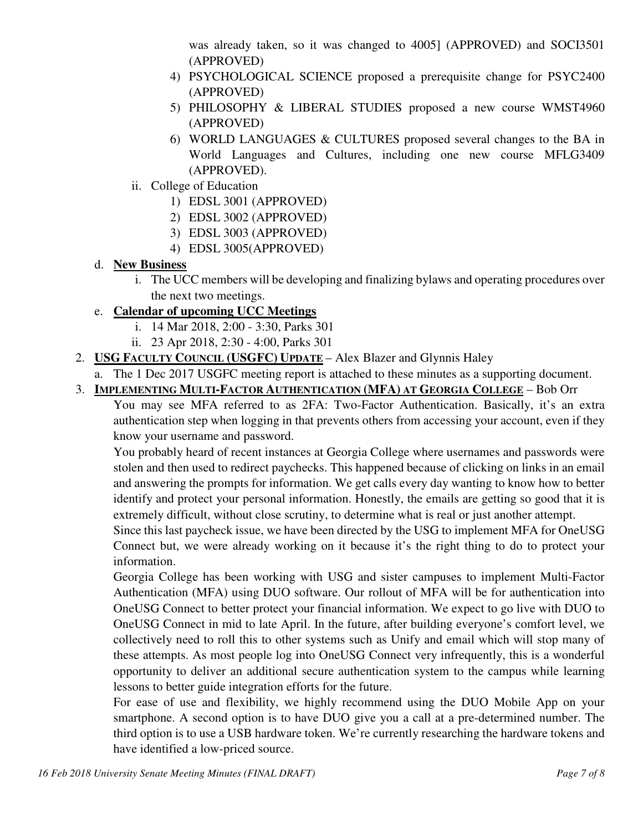was already taken, so it was changed to 4005] (APPROVED) and SOCI3501 (APPROVED)

- 4) PSYCHOLOGICAL SCIENCE proposed a prerequisite change for PSYC2400 (APPROVED)
- 5) PHILOSOPHY & LIBERAL STUDIES proposed a new course WMST4960 (APPROVED)
- 6) WORLD LANGUAGES & CULTURES proposed several changes to the BA in World Languages and Cultures, including one new course MFLG3409 (APPROVED).
- ii. College of Education
	- 1) EDSL 3001 (APPROVED)
	- 2) EDSL 3002 (APPROVED)
	- 3) EDSL 3003 (APPROVED)
	- 4) EDSL 3005(APPROVED)

# d. **New Business**

i. The UCC members will be developing and finalizing bylaws and operating procedures over the next two meetings.

# e. **Calendar of upcoming UCC Meetings**

- i. 14 Mar 2018, 2:00 3:30, Parks 301
- ii. 23 Apr 2018, 2:30 4:00, Parks 301
- 2. **USG FACULTY COUNCIL (USGFC) UPDATE** Alex Blazer and Glynnis Haley
	- a. The 1 Dec 2017 USGFC meeting report is attached to these minutes as a supporting document.
- 3. **IMPLEMENTING MULTI-FACTOR AUTHENTICATION (MFA) AT GEORGIA COLLEGE** Bob Orr

You may see MFA referred to as 2FA: Two-Factor Authentication. Basically, it's an extra authentication step when logging in that prevents others from accessing your account, even if they know your username and password.

You probably heard of recent instances at Georgia College where usernames and passwords were stolen and then used to redirect paychecks. This happened because of clicking on links in an email and answering the prompts for information. We get calls every day wanting to know how to better identify and protect your personal information. Honestly, the emails are getting so good that it is extremely difficult, without close scrutiny, to determine what is real or just another attempt.

Since this last paycheck issue, we have been directed by the USG to implement MFA for OneUSG Connect but, we were already working on it because it's the right thing to do to protect your information.

Georgia College has been working with USG and sister campuses to implement Multi-Factor Authentication (MFA) using DUO software. Our rollout of MFA will be for authentication into OneUSG Connect to better protect your financial information. We expect to go live with DUO to OneUSG Connect in mid to late April. In the future, after building everyone's comfort level, we collectively need to roll this to other systems such as Unify and email which will stop many of these attempts. As most people log into OneUSG Connect very infrequently, this is a wonderful opportunity to deliver an additional secure authentication system to the campus while learning lessons to better guide integration efforts for the future.

For ease of use and flexibility, we highly recommend using the DUO Mobile App on your smartphone. A second option is to have DUO give you a call at a pre-determined number. The third option is to use a USB hardware token. We're currently researching the hardware tokens and have identified a low-priced source.